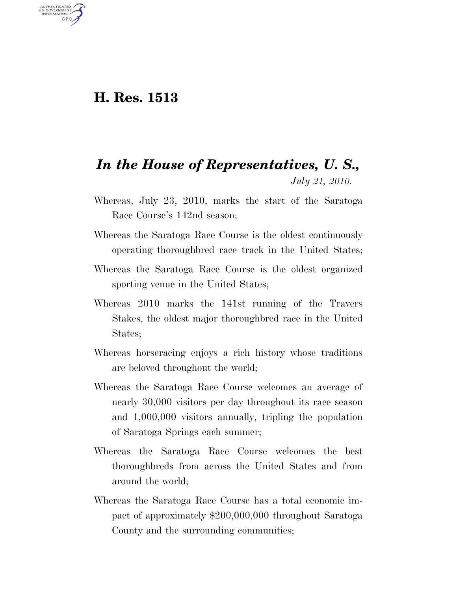## **H. Res. 1513**

U.S. GOVERNMENT **GPO** 

## *In the House of Representatives, U. S., July 21, 2010.*

- Whereas, July 23, 2010, marks the start of the Saratoga Race Course's 142nd season;
- Whereas the Saratoga Race Course is the oldest continuously operating thoroughbred race track in the United States;
- Whereas the Saratoga Race Course is the oldest organized sporting venue in the United States;
- Whereas 2010 marks the 141st running of the Travers Stakes, the oldest major thoroughbred race in the United States;
- Whereas horseracing enjoys a rich history whose traditions are beloved throughout the world;
- Whereas the Saratoga Race Course welcomes an average of nearly 30,000 visitors per day throughout its race season and 1,000,000 visitors annually, tripling the population of Saratoga Springs each summer;
- Whereas the Saratoga Race Course welcomes the best thoroughbreds from across the United States and from around the world;
- Whereas the Saratoga Race Course has a total economic impact of approximately \$200,000,000 throughout Saratoga County and the surrounding communities;